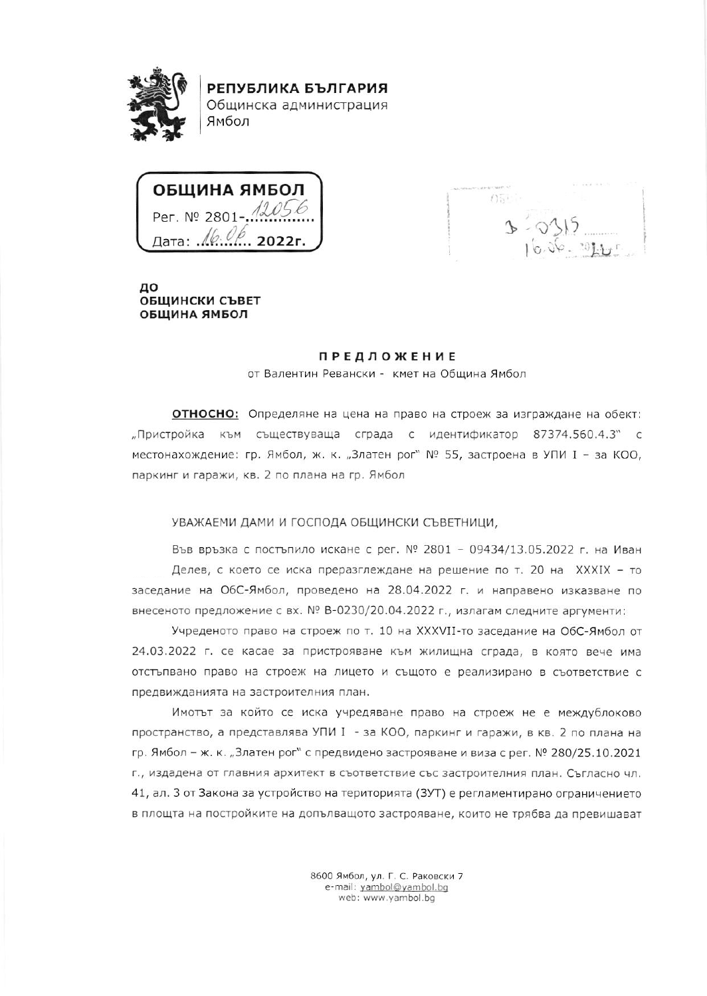

РЕПУБЛИКА БЪЛГАРИЯ Общинска администрация Ямбол



 $0511$ 

до ОБЩИНСКИ СЪВЕТ ОБЩИНА ЯМБОЛ

## **ПРЕДЛОЖЕНИЕ**

от Валентин Ревански - кмет на Община Ямбол

**ОТНОСНО:** Определяне на цена на право на строеж за изграждане на обект: "Пристройка към съществуваща сграда с идентификатор 87374.560.4.3" с местонахождение: гр. Ямбол, ж. к. "Златен рог" № 55, застроена в УПИ I - за КОО, паркинг и гаражи, кв. 2 по плана на гр. Ямбол

## УВАЖАЕМИ ДАМИ И ГОСПОДА ОБЩИНСКИ СЪВЕТНИЦИ,

Във връзка с постъпило искане с рег. № 2801 - 09434/13.05.2022 г. на Иван Делев, с което се иска преразглеждане на решение по т. 20 на XXXIX - то заседание на ОбС-Ямбол, проведено на 28.04.2022 г. и направено изказване по внесеното предложение с вх. № В-0230/20.04.2022 г., излагам следните аргументи:

Учреденото право на строеж по т. 10 на XXXVII-то заседание на ОбС-Ямбол от 24.03.2022 г. се касае за пристрояване към жилищна сграда, в която вече има отстъпвано право на строеж на лицето и същото е реализирано в съответствие с предвижданията на застроителния план.

Имотът за който се иска учредяване право на строеж не е междублоково пространство, а представлява УПИ I - за КОО, паркинг и гаражи, в кв. 2 по плана на гр. Ямбол - ж. к. "Златен рог" с предвидено застрояване и виза с рег. № 280/25.10.2021 г., издадена от главния архитект в съответствие със застроителния план. Съгласно чл. 41, ал. 3 от Закона за устройство на територията (ЗУТ) е регламентирано ограничението в площта на постройките на допълващото застрояване, които не трябва да превишават

> 8600 Ямбол, ул. Г. С. Раковски 7 e-mail: yambol@yambol.bg web: www.yambol.bg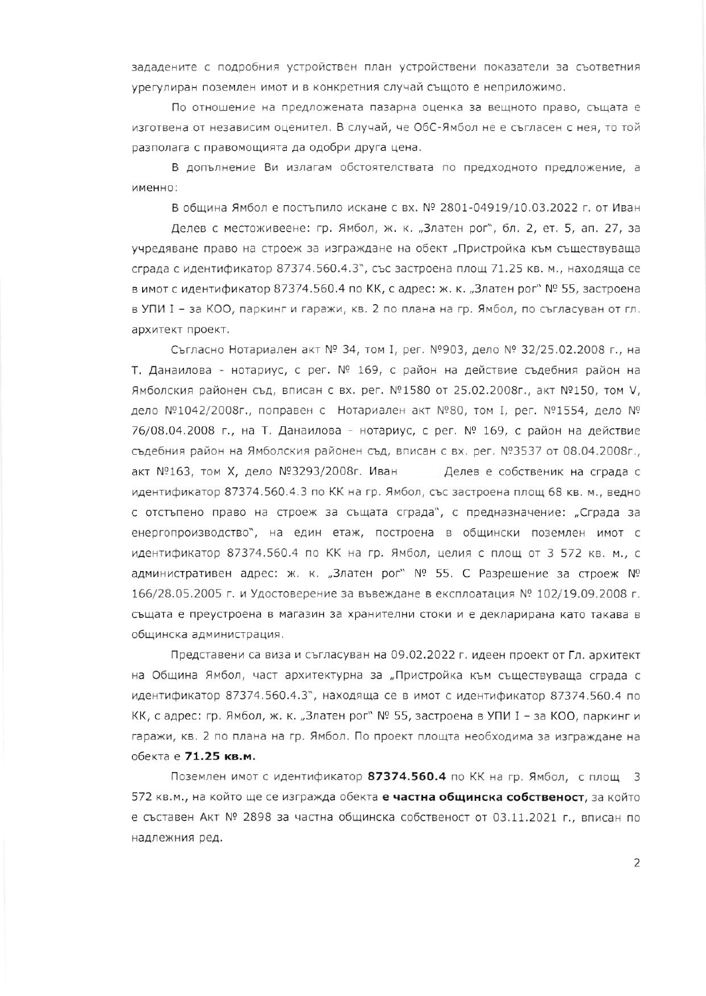зададените с подробния устройствен план устройствени показатели за съответния урегулиран поземлен имот и в конкретния случай същото е неприложимо.

По отношение на предложената пазарна оценка за вещното право, същата е изготвена от независим оценител. В случай, че ОбС-Ямбол не е съгласен с нея, то той разполага с правомощията да одобри друга цена.

В допълнение Ви излагам обстоятелствата по предходното предложение, а именно:

В община Ямбол е постъпило искане с вх. № 2801-04919/10.03.2022 г. от Иван

Делев с местоживеене: гр. Ямбол, ж. к. "Златен рог", бл. 2, ет. 5, ап. 27, за учредяване право на строеж за изграждане на обект "Пристройка към съществуваща сграда с идентификатор 87374.560.4.3", със застроена площ 71.25 кв. м., находяща се в имот с идентификатор 87374.560.4 по КК, с адрес: ж. к. "Златен рог" № 55, застроена в УПИ I - за КОО, паркинг и гаражи, кв. 2 по плана на гр. Ямбол, по съгласуван от гл. архитект проект.

Съгласно Нотариален акт № 34, том I, рег. №903, дело № 32/25.02.2008 г., на Т. Данаилова - нотариус, с рег. № 169, с район на действие съдебния район на Ямболския районен съд, вписан с вх. рег. №1580 от 25.02.2008г., акт №150, том V, дело №1042/2008г., поправен с Нотариален акт №80, том I, рег. №1554, дело № 76/08.04.2008 г., на Т. Данаилова - нотариус, с рег. № 169, с район на действие съдебния район на Ямболския районен съд, вписан с вх. рег. №3537 от 08.04.2008г., акт №163, том Х, дело №3293/2008г. Иван Делев е собственик на сграда с идентификатор 87374.560.4.3 по КК на гр. Ямбол, със застроена площ 68 кв. м., ведно с отстъпено право на строеж за същата сграда", с предназначение: "Сграда за енергопроизводство", на един етаж, построена в общински поземлен имот с идентификатор 87374.560.4 по КК на гр. Ямбол, целия с площ от 3 572 кв. м., с административен адрес: ж. к. "Златен рог" № 55. С Разрешение за строеж № 166/28.05.2005 г. и Удостоверение за въвеждане в експлоатация № 102/19.09.2008 г. същата е преустроена в магазин за хранителни стоки и е декларирана като такава в общинска администрация.

Представени са виза и съгласуван на 09.02.2022 г. идеен проект от Гл. архитект на Община Ямбол, част архитектурна за "Пристройка към съществуваща сграда с идентификатор 87374.560.4.3", находяща се в имот с идентификатор 87374.560.4 по КК, с адрес: гр. Ямбол, ж. к. "Златен рог" № 55, застроена в УПИ I - за КОО, паркинг и гаражи, кв. 2 по плана на гр. Ямбол. По проект площта необходима за изграждане на обекта е 71.25 кв.м.

Поземлен имот с идентификатор 87374.560.4 по КК на гр. Ямбол, с площ 3 572 кв.м., на който ще се изгражда обекта е частна общинска собственост, за който е съставен Акт № 2898 за частна общинска собственост от 03.11.2021 г., вписан по надлежния ред.